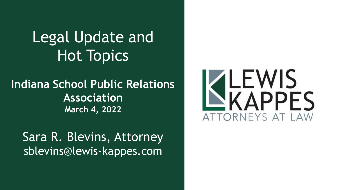# Legal Update and Hot Topics

#### **Indiana School Public Relations Association March 4, 2022**

Sara R. Blevins, Attorney sblevins@lewis-kappes.com

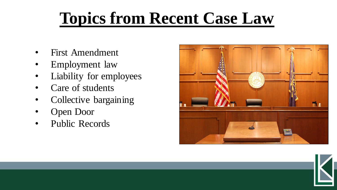# **Topics from Recent Case Law**

- First Amendment
- Employment law
- Liability for employees
- Care of students
- Collective bargaining
- Open Door
- Public Records

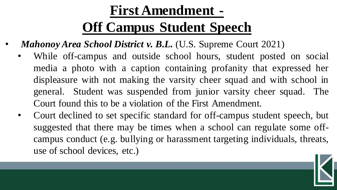#### **First Amendment -**

# **Off Campus Student Speech**

- *Mahonoy Area School District v. B.L.* (U.S. Supreme Court 2021)
	- While off-campus and outside school hours, student posted on social media a photo with a caption containing profanity that expressed her displeasure with not making the varsity cheer squad and with school in general. Student was suspended from junior varsity cheer squad. The Court found this to be a violation of the First Amendment.
	- Court declined to set specific standard for off-campus student speech, but suggested that there may be times when a school can regulate some offcampus conduct (e.g. bullying or harassment targeting individuals, threats, use of school devices, etc.)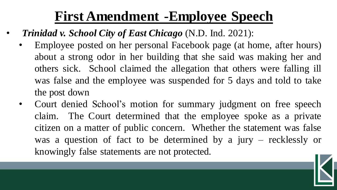#### **First Amendment -Employee Speech**

- *Trinidad v. School City of East Chicago* (N.D. Ind. 2021):
	- Employee posted on her personal Facebook page (at home, after hours) about a strong odor in her building that she said was making her and others sick. School claimed the allegation that others were falling ill was false and the employee was suspended for 5 days and told to take the post down
	- Court denied School's motion for summary judgment on free speech claim. The Court determined that the employee spoke as a private citizen on a matter of public concern. Whether the statement was false was a question of fact to be determined by a jury – recklessly or knowingly false statements are not protected.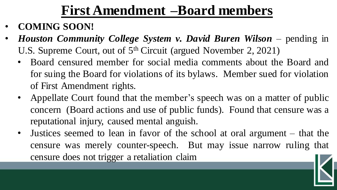#### **First Amendment –Board members**

- **COMING SOON!**
- *Houston Community College System v. David Buren Wilson* pending in U.S. Supreme Court, out of 5<sup>th</sup> Circuit (argued November 2, 2021)
	- Board censured member for social media comments about the Board and for suing the Board for violations of its bylaws. Member sued for violation of First Amendment rights.
	- Appellate Court found that the member's speech was on a matter of public concern (Board actions and use of public funds). Found that censure was a reputational injury, caused mental anguish.
	- Justices seemed to lean in favor of the school at oral argument that the censure was merely counter-speech. But may issue narrow ruling that censure does not trigger a retaliation claim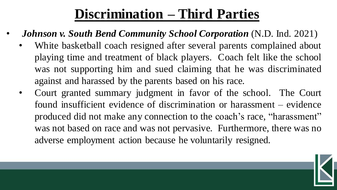#### **Discrimination – Third Parties**

- *Johnson v. South Bend Community School Corporation* (N.D. Ind. 2021)
	- White basketball coach resigned after several parents complained about playing time and treatment of black players. Coach felt like the school was not supporting him and sued claiming that he was discriminated against and harassed by the parents based on his race.
	- Court granted summary judgment in favor of the school. The Court found insufficient evidence of discrimination or harassment – evidence produced did not make any connection to the coach's race, "harassment" was not based on race and was not pervasive. Furthermore, there was no adverse employment action because he voluntarily resigned.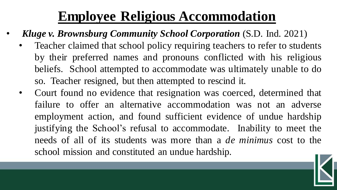#### **Employee Religious Accommodation**

- *Kluge v. Brownsburg Community School Corporation* (S.D. Ind. 2021)
	- Teacher claimed that school policy requiring teachers to refer to students by their preferred names and pronouns conflicted with his religious beliefs. School attempted to accommodate was ultimately unable to do so. Teacher resigned, but then attempted to rescind it.
	- Court found no evidence that resignation was coerced, determined that failure to offer an alternative accommodation was not an adverse employment action, and found sufficient evidence of undue hardship justifying the School's refusal to accommodate. Inability to meet the needs of all of its students was more than a *de minimus* cost to the school mission and constituted an undue hardship.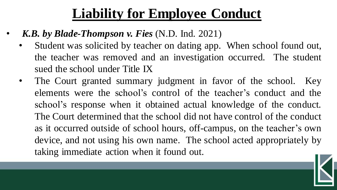#### **Liability for Employee Conduct**

- *K.B. by Blade-Thompson v. Fies* (N.D. Ind. 2021)
	- Student was solicited by teacher on dating app. When school found out, the teacher was removed and an investigation occurred. The student sued the school under Title IX
	- The Court granted summary judgment in favor of the school. Key elements were the school's control of the teacher's conduct and the school's response when it obtained actual knowledge of the conduct. The Court determined that the school did not have control of the conduct as it occurred outside of school hours, off-campus, on the teacher's own device, and not using his own name. The school acted appropriately by taking immediate action when it found out.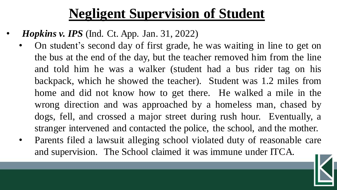#### **Negligent Supervision of Student**

- *Hopkins v. IPS* (Ind. Ct. App. Jan. 31, 2022)
	- On student's second day of first grade, he was waiting in line to get on the bus at the end of the day, but the teacher removed him from the line and told him he was a walker (student had a bus rider tag on his backpack, which he showed the teacher). Student was 1.2 miles from home and did not know how to get there. He walked a mile in the wrong direction and was approached by a homeless man, chased by dogs, fell, and crossed a major street during rush hour. Eventually, a stranger intervened and contacted the police, the school, and the mother.
	- Parents filed a lawsuit alleging school violated duty of reasonable care and supervision. The School claimed it was immune under ITCA.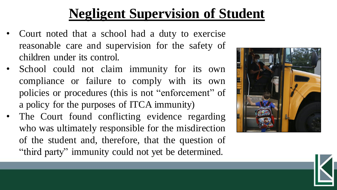### **Negligent Supervision of Student**

- Court noted that a school had a duty to exercise reasonable care and supervision for the safety of children under its control.
- School could not claim immunity for its own compliance or failure to comply with its own policies or procedures (this is not "enforcement" of a policy for the purposes of ITCA immunity)
- The Court found conflicting evidence regarding who was ultimately responsible for the misdirection of the student and, therefore, that the question of "third party" immunity could not yet be determined.

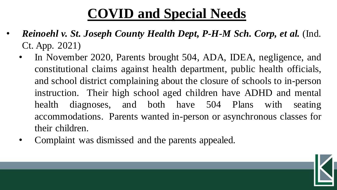### **COVID and Special Needs**

- *Reinoehl v. St. Joseph County Health Dept, P-H-M Sch. Corp, et al.* (Ind. Ct. App. 2021)
	- In November 2020, Parents brought 504, ADA, IDEA, negligence, and constitutional claims against health department, public health officials, and school district complaining about the closure of schools to in-person instruction. Their high school aged children have ADHD and mental health diagnoses, and both have 504 Plans with seating accommodations. Parents wanted in-person or asynchronous classes for their children.
	- Complaint was dismissed and the parents appealed.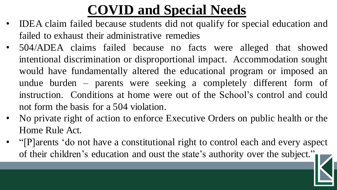## **COVID and Special Needs**

- IDEA claim failed because students did not qualify for special education and failed to exhaust their administrative remedies
- 504/ADEA claims failed because no facts were alleged that showed intentional discrimination or disproportional impact. Accommodation sought would have fundamentally altered the educational program or imposed an undue burden – parents were seeking a completely different form of instruction. Conditions at home were out of the School's control and could not form the basis for a 504 violation.
- No private right of action to enforce Executive Orders on public health or the Home Rule Act.
- "[P]arents 'do not have a constitutional right to control each and every aspect of their children's education and oust the state's authority over the subject."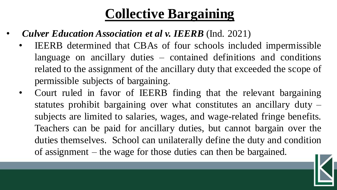#### **Collective Bargaining**

- *Culver Education Association et al v. IEERB* (Ind. 2021)
	- IEERB determined that CBAs of four schools included impermissible language on ancillary duties – contained definitions and conditions related to the assignment of the ancillary duty that exceeded the scope of permissible subjects of bargaining.
	- Court ruled in favor of IEERB finding that the relevant bargaining statutes prohibit bargaining over what constitutes an ancillary duty – subjects are limited to salaries, wages, and wage-related fringe benefits. Teachers can be paid for ancillary duties, but cannot bargain over the duties themselves. School can unilaterally define the duty and condition of assignment – the wage for those duties can then be bargained.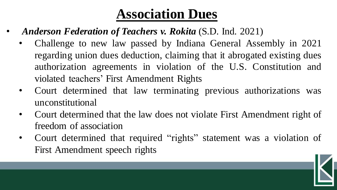#### **Association Dues**

- *Anderson Federation of Teachers v. Rokita* (S.D. Ind. 2021)
	- Challenge to new law passed by Indiana General Assembly in 2021 regarding union dues deduction, claiming that it abrogated existing dues authorization agreements in violation of the U.S. Constitution and violated teachers' First Amendment Rights
	- Court determined that law terminating previous authorizations was unconstitutional
	- Court determined that the law does not violate First Amendment right of freedom of association
	- Court determined that required "rights" statement was a violation of First Amendment speech rights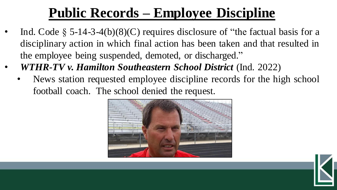### **Public Records – Employee Discipline**

- Ind. Code  $\S$  5-14-3-4(b)(8)(C) requires disclosure of "the factual basis for a disciplinary action in which final action has been taken and that resulted in the employee being suspended, demoted, or discharged."
- *WTHR-TV v. Hamilton Southeastern School District* (Ind. 2022)
	- News station requested employee discipline records for the high school football coach. The school denied the request.



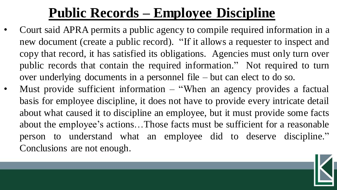#### **Public Records – Employee Discipline**

- Court said APRA permits a public agency to compile required information in a new document (create a public record). "If it allows a requester to inspect and copy that record, it has satisfied its obligations. Agencies must only turn over public records that contain the required information." Not required to turn over underlying documents in a personnel file – but can elect to do so.
- Must provide sufficient information  $-$  "When an agency provides a factual basis for employee discipline, it does not have to provide every intricate detail about what caused it to discipline an employee, but it must provide some facts about the employee's actions…Those facts must be sufficient for a reasonable person to understand what an employee did to deserve discipline." Conclusions are not enough.

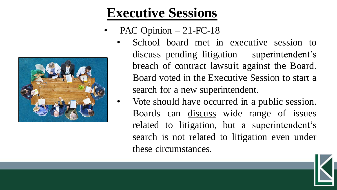#### **Executive Sessions**

- PAC Opinion  $-21$ -FC-18
	- School board met in executive session to discuss pending litigation – superintendent's breach of contract lawsuit against the Board. Board voted in the Executive Session to start a search for a new superintendent.
	- Vote should have occurred in a public session. Boards can discuss wide range of issues related to litigation, but a superintendent's search is not related to litigation even under these circumstances.

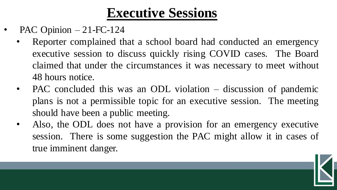#### **Executive Sessions**

- PAC Opinion  $-21$ -FC-124
	- Reporter complained that a school board had conducted an emergency executive session to discuss quickly rising COVID cases. The Board claimed that under the circumstances it was necessary to meet without 48 hours notice.
	- PAC concluded this was an ODL violation discussion of pandemic plans is not a permissible topic for an executive session. The meeting should have been a public meeting.
	- Also, the ODL does not have a provision for an emergency executive session. There is some suggestion the PAC might allow it in cases of true imminent danger.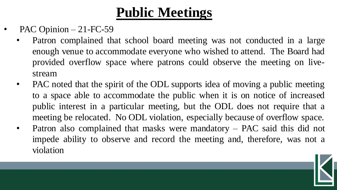- PAC Opinion  $-21$ -FC-59
	- Patron complained that school board meeting was not conducted in a large enough venue to accommodate everyone who wished to attend. The Board had provided overflow space where patrons could observe the meeting on livestream
	- PAC noted that the spirit of the ODL supports idea of moving a public meeting to a space able to accommodate the public when it is on notice of increased public interest in a particular meeting, but the ODL does not require that a meeting be relocated. No ODL violation, especially because of overflow space.
	- Patron also complained that masks were mandatory PAC said this did not impede ability to observe and record the meeting and, therefore, was not a violation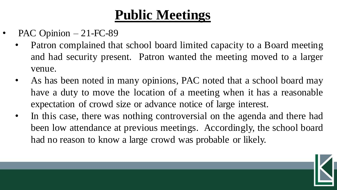- PAC Opinion  $-21$ -FC-89
	- Patron complained that school board limited capacity to a Board meeting and had security present. Patron wanted the meeting moved to a larger venue.
	- As has been noted in many opinions, PAC noted that a school board may have a duty to move the location of a meeting when it has a reasonable expectation of crowd size or advance notice of large interest.
	- In this case, there was nothing controversial on the agenda and there had been low attendance at previous meetings. Accordingly, the school board had no reason to know a large crowd was probable or likely.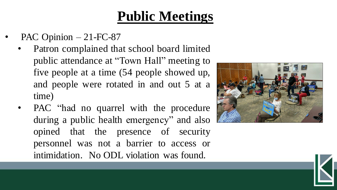- PAC Opinion  $-21$ -FC-87
	- Patron complained that school board limited public attendance at "Town Hall" meeting to five people at a time (54 people showed up, and people were rotated in and out 5 at a time)
	- PAC "had no quarrel with the procedure during a public health emergency" and also opined that the presence of security personnel was not a barrier to access or intimidation. No ODL violation was found.

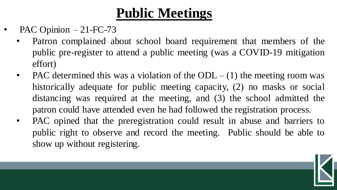- PAC Opinion  $-21$ -FC-73
	- Patron complained about school board requirement that members of the public pre-register to attend a public meeting (was a COVID-19 mitigation effort)
	- PAC determined this was a violation of the ODL  $-$  (1) the meeting room was historically adequate for public meeting capacity, (2) no masks or social distancing was required at the meeting, and (3) the school admitted the patron could have attended even he had followed the registration process.
	- PAC opined that the preregistration could result in abuse and barriers to public right to observe and record the meeting. Public should be able to show up without registering.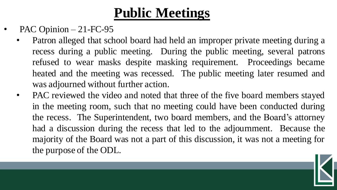- PAC Opinion  $-21$ -FC-95
	- Patron alleged that school board had held an improper private meeting during a recess during a public meeting. During the public meeting, several patrons refused to wear masks despite masking requirement. Proceedings became heated and the meeting was recessed. The public meeting later resumed and was adjourned without further action.
	- PAC reviewed the video and noted that three of the five board members stayed in the meeting room, such that no meeting could have been conducted during the recess. The Superintendent, two board members, and the Board's attorney had a discussion during the recess that led to the adjournment. Because the majority of the Board was not a part of this discussion, it was not a meeting for the purpose of the ODL.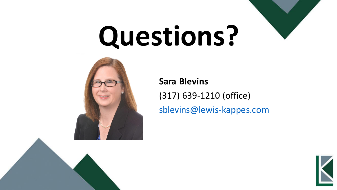



**Sara Blevins**

(317) 639-1210 (office)

[sblevins@lewis-kappes.com](mailto:straynorchastain@lewis-kappes.com)